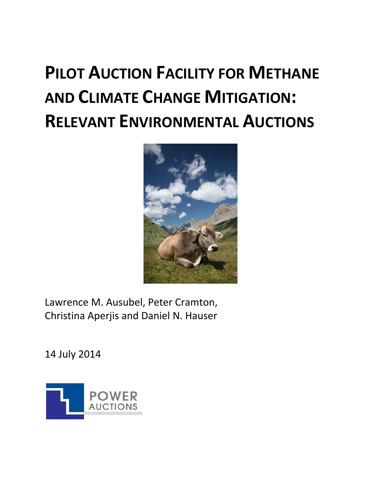# **PILOT AUCTION FACILITY FOR METHANE AND CLIMATE CHANGE MITIGATION: RELEVANT ENVIRONMENTAL AUCTIONS**



Lawrence M. Ausubel, Peter Cramton, Christina Aperjis and Daniel N. Hauser

14 July 2014

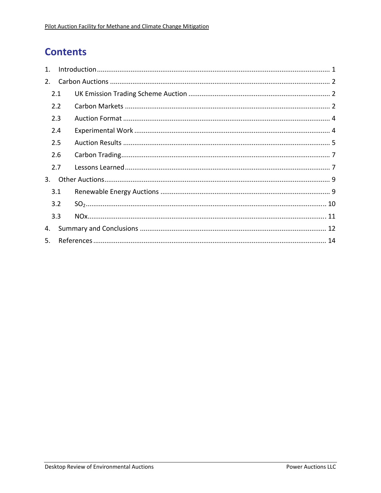# **Contents**

| $1_{-}$ |     |  |  |  |  |  |  |  |
|---------|-----|--|--|--|--|--|--|--|
| 2.      |     |  |  |  |  |  |  |  |
| 2.1     |     |  |  |  |  |  |  |  |
|         | 2.2 |  |  |  |  |  |  |  |
|         | 2.3 |  |  |  |  |  |  |  |
|         | 2.4 |  |  |  |  |  |  |  |
|         | 2.5 |  |  |  |  |  |  |  |
|         | 2.6 |  |  |  |  |  |  |  |
|         | 2.7 |  |  |  |  |  |  |  |
| 3.      |     |  |  |  |  |  |  |  |
|         | 3.1 |  |  |  |  |  |  |  |
|         | 3.2 |  |  |  |  |  |  |  |
|         | 3.3 |  |  |  |  |  |  |  |
| 4.      |     |  |  |  |  |  |  |  |
| 5.      |     |  |  |  |  |  |  |  |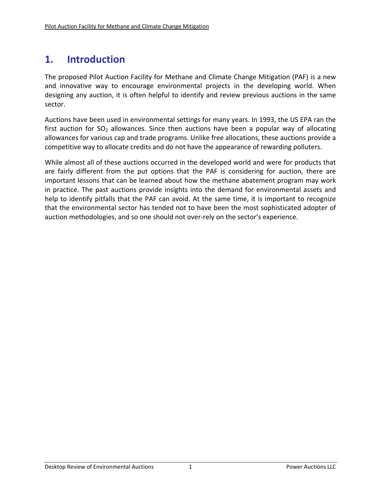# **1. Introduction**

The proposed Pilot Auction Facility for Methane and Climate Change Mitigation (PAF) is a new and innovative way to encourage environmental projects in the developing world. When designing any auction, it is often helpful to identify and review previous auctions in the same sector.

Auctions have been used in environmental settings for many years. In 1993, the US EPA ran the first auction for  $SO_2$  allowances. Since then auctions have been a popular way of allocating allowances for various cap and trade programs. Unlike free allocations, these auctions provide a competitive way to allocate credits and do not have the appearance of rewarding polluters.

While almost all of these auctions occurred in the developed world and were for products that are fairly different from the put options that the PAF is considering for auction, there are important lessons that can be learned about how the methane abatement program may work in practice. The past auctions provide insights into the demand for environmental assets and help to identify pitfalls that the PAF can avoid. At the same time, it is important to recognize that the environmental sector has tended not to have been the most sophisticated adopter of auction methodologies, and so one should not over‐rely on the sector's experience.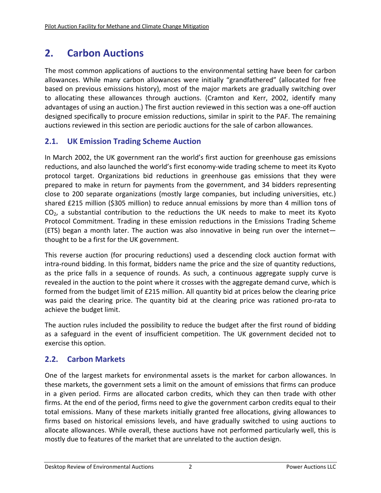# **2. Carbon Auctions**

The most common applications of auctions to the environmental setting have been for carbon allowances. While many carbon allowances were initially "grandfathered" (allocated for free based on previous emissions history), most of the major markets are gradually switching over to allocating these allowances through auctions. (Cramton and Kerr, 2002, identify many advantages of using an auction.) The first auction reviewed in this section was a one‐off auction designed specifically to procure emission reductions, similar in spirit to the PAF. The remaining auctions reviewed in this section are periodic auctions for the sale of carbon allowances.

## **2.1. UK Emission Trading Scheme Auction**

In March 2002, the UK government ran the world's first auction for greenhouse gas emissions reductions, and also launched the world's first economy‐wide trading scheme to meet its Kyoto protocol target. Organizations bid reductions in greenhouse gas emissions that they were prepared to make in return for payments from the government, and 34 bidders representing close to 200 separate organizations (mostly large companies, but including universities, etc.) shared £215 million (\$305 million) to reduce annual emissions by more than 4 million tons of  $CO<sub>2</sub>$ , a substantial contribution to the reductions the UK needs to make to meet its Kyoto Protocol Commitment. Trading in these emission reductions in the Emissions Trading Scheme (ETS) began a month later. The auction was also innovative in being run over the internet thought to be a first for the UK government.

This reverse auction (for procuring reductions) used a descending clock auction format with intra-round bidding. In this format, bidders name the price and the size of quantity reductions, as the price falls in a sequence of rounds. As such, a continuous aggregate supply curve is revealed in the auction to the point where it crosses with the aggregate demand curve, which is formed from the budget limit of £215 million. All quantity bid at prices below the clearing price was paid the clearing price. The quantity bid at the clearing price was rationed pro-rata to achieve the budget limit.

The auction rules included the possibility to reduce the budget after the first round of bidding as a safeguard in the event of insufficient competition. The UK government decided not to exercise this option.

# **2.2. Carbon Markets**

One of the largest markets for environmental assets is the market for carbon allowances. In these markets, the government sets a limit on the amount of emissions that firms can produce in a given period. Firms are allocated carbon credits, which they can then trade with other firms. At the end of the period, firms need to give the government carbon credits equal to their total emissions. Many of these markets initially granted free allocations, giving allowances to firms based on historical emissions levels, and have gradually switched to using auctions to allocate allowances. While overall, these auctions have not performed particularly well, this is mostly due to features of the market that are unrelated to the auction design.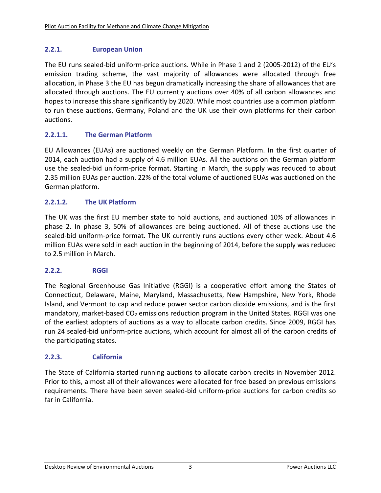#### **2.2.1. European Union**

The EU runs sealed-bid uniform-price auctions. While in Phase 1 and 2 (2005-2012) of the EU's emission trading scheme, the vast majority of allowances were allocated through free allocation, in Phase 3 the EU has begun dramatically increasing the share of allowances that are allocated through auctions. The EU currently auctions over 40% of all carbon allowances and hopes to increase this share significantly by 2020. While most countries use a common platform to run these auctions, Germany, Poland and the UK use their own platforms for their carbon auctions.

#### **2.2.1.1. The German Platform**

EU Allowances (EUAs) are auctioned weekly on the German Platform. In the first quarter of 2014, each auction had a supply of 4.6 million EUAs. All the auctions on the German platform use the sealed‐bid uniform‐price format. Starting in March, the supply was reduced to about 2.35 million EUAs per auction. 22% of the total volume of auctioned EUAs was auctioned on the German platform.

#### **2.2.1.2. The UK Platform**

The UK was the first EU member state to hold auctions, and auctioned 10% of allowances in phase 2. In phase 3, 50% of allowances are being auctioned. All of these auctions use the sealed-bid uniform-price format. The UK currently runs auctions every other week. About 4.6 million EUAs were sold in each auction in the beginning of 2014, before the supply was reduced to 2.5 million in March.

#### **2.2.2. RGGI**

The Regional Greenhouse Gas Initiative (RGGI) is a cooperative effort among the States of Connecticut, Delaware, Maine, Maryland, Massachusetts, New Hampshire, New York, Rhode Island, and Vermont to cap and reduce power sector carbon dioxide emissions, and is the first mandatory, market-based  $CO<sub>2</sub>$  emissions reduction program in the United States. RGGI was one of the earliest adopters of auctions as a way to allocate carbon credits. Since 2009, RGGI has run 24 sealed‐bid uniform‐price auctions, which account for almost all of the carbon credits of the participating states.

#### **2.2.3. California**

The State of California started running auctions to allocate carbon credits in November 2012. Prior to this, almost all of their allowances were allocated for free based on previous emissions requirements. There have been seven sealed‐bid uniform‐price auctions for carbon credits so far in California.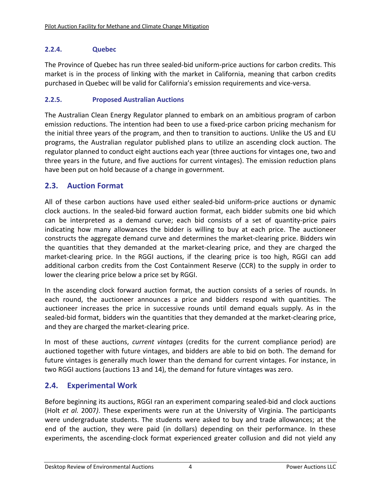#### **2.2.4. Quebec**

The Province of Quebec has run three sealed‐bid uniform‐price auctions for carbon credits. This market is in the process of linking with the market in California, meaning that carbon credits purchased in Quebec will be valid for California's emission requirements and vice‐versa.

#### **2.2.5. Proposed Australian Auctions**

The Australian Clean Energy Regulator planned to embark on an ambitious program of carbon emission reductions. The intention had been to use a fixed-price carbon pricing mechanism for the initial three years of the program, and then to transition to auctions. Unlike the US and EU programs, the Australian regulator published plans to utilize an ascending clock auction. The regulator planned to conduct eight auctions each year (three auctions for vintages one, two and three years in the future, and five auctions for current vintages). The emission reduction plans have been put on hold because of a change in government.

#### **2.3. Auction Format**

All of these carbon auctions have used either sealed‐bid uniform‐price auctions or dynamic clock auctions. In the sealed‐bid forward auction format, each bidder submits one bid which can be interpreted as a demand curve; each bid consists of a set of quantity‐price pairs indicating how many allowances the bidder is willing to buy at each price. The auctioneer constructs the aggregate demand curve and determines the market‐clearing price. Bidders win the quantities that they demanded at the market‐clearing price, and they are charged the market-clearing price. In the RGGI auctions, if the clearing price is too high, RGGI can add additional carbon credits from the Cost Containment Reserve (CCR) to the supply in order to lower the clearing price below a price set by RGGI.

In the ascending clock forward auction format, the auction consists of a series of rounds. In each round, the auctioneer announces a price and bidders respond with quantities. The auctioneer increases the price in successive rounds until demand equals supply. As in the sealed-bid format, bidders win the quantities that they demanded at the market-clearing price, and they are charged the market‐clearing price.

In most of these auctions, *current vintages* (credits for the current compliance period) are auctioned together with future vintages, and bidders are able to bid on both. The demand for future vintages is generally much lower than the demand for current vintages. For instance, in two RGGI auctions (auctions 13 and 14), the demand for future vintages was zero.

## **2.4. Experimental Work**

Before beginning its auctions, RGGI ran an experiment comparing sealed-bid and clock auctions (Holt *et al.* 2007*)*. These experiments were run at the University of Virginia. The participants were undergraduate students. The students were asked to buy and trade allowances; at the end of the auction, they were paid (in dollars) depending on their performance. In these experiments, the ascending‐clock format experienced greater collusion and did not yield any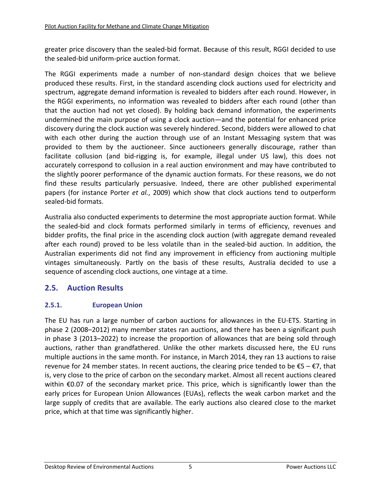greater price discovery than the sealed‐bid format. Because of this result, RGGI decided to use the sealed‐bid uniform‐price auction format.

The RGGI experiments made a number of non‐standard design choices that we believe produced these results. First, in the standard ascending clock auctions used for electricity and spectrum, aggregate demand information is revealed to bidders after each round. However, in the RGGI experiments, no information was revealed to bidders after each round (other than that the auction had not yet closed). By holding back demand information, the experiments undermined the main purpose of using a clock auction—and the potential for enhanced price discovery during the clock auction was severely hindered. Second, bidders were allowed to chat with each other during the auction through use of an Instant Messaging system that was provided to them by the auctioneer. Since auctioneers generally discourage, rather than facilitate collusion (and bid-rigging is, for example, illegal under US law), this does not accurately correspond to collusion in a real auction environment and may have contributed to the slightly poorer performance of the dynamic auction formats. For these reasons, we do not find these results particularly persuasive. Indeed, there are other published experimental papers (for instance Porter *et al.*, 2009) which show that clock auctions tend to outperform sealed‐bid formats.

Australia also conducted experiments to determine the most appropriate auction format. While the sealed‐bid and clock formats performed similarly in terms of efficiency, revenues and bidder profits, the final price in the ascending clock auction (with aggregate demand revealed after each round) proved to be less volatile than in the sealed‐bid auction. In addition, the Australian experiments did not find any improvement in efficiency from auctioning multiple vintages simultaneously. Partly on the basis of these results, Australia decided to use a sequence of ascending clock auctions, one vintage at a time.

## **2.5. Auction Results**

#### **2.5.1. European Union**

The EU has run a large number of carbon auctions for allowances in the EU‐ETS. Starting in phase 2 (2008–2012) many member states ran auctions, and there has been a significant push in phase 3 (2013–2022) to increase the proportion of allowances that are being sold through auctions, rather than grandfathered. Unlike the other markets discussed here, the EU runs multiple auctions in the same month. For instance, in March 2014, they ran 13 auctions to raise revenue for 24 member states. In recent auctions, the clearing price tended to be  $\epsilon$ 5 –  $\epsilon$ 7, that is, very close to the price of carbon on the secondary market. Almost all recent auctions cleared within €0.07 of the secondary market price. This price, which is significantly lower than the early prices for European Union Allowances (EUAs), reflects the weak carbon market and the large supply of credits that are available. The early auctions also cleared close to the market price, which at that time was significantly higher.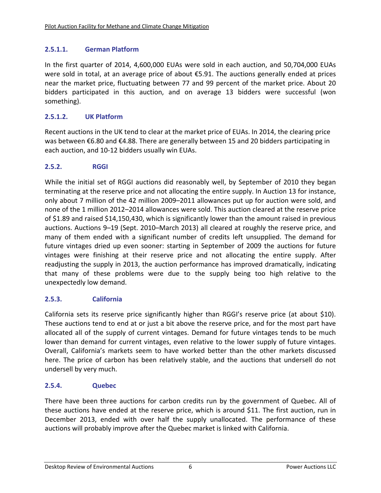#### **2.5.1.1. German Platform**

In the first quarter of 2014, 4,600,000 EUAs were sold in each auction, and 50,704,000 EUAs were sold in total, at an average price of about €5.91. The auctions generally ended at prices near the market price, fluctuating between 77 and 99 percent of the market price. About 20 bidders participated in this auction, and on average 13 bidders were successful (won something).

#### **2.5.1.2. UK Platform**

Recent auctions in the UK tend to clear at the market price of EUAs. In 2014, the clearing price was between €6.80 and €4.88. There are generally between 15 and 20 bidders participating in each auction, and 10‐12 bidders usually win EUAs.

#### **2.5.2. RGGI**

While the initial set of RGGI auctions did reasonably well, by September of 2010 they began terminating at the reserve price and not allocating the entire supply. In Auction 13 for instance, only about 7 million of the 42 million 2009–2011 allowances put up for auction were sold, and none of the 1 million 2012–2014 allowances were sold. This auction cleared at the reserve price of \$1.89 and raised \$14,150,430, which is significantly lower than the amount raised in previous auctions. Auctions 9–19 (Sept. 2010–March 2013) all cleared at roughly the reserve price, and many of them ended with a significant number of credits left unsupplied. The demand for future vintages dried up even sooner: starting in September of 2009 the auctions for future vintages were finishing at their reserve price and not allocating the entire supply. After readjusting the supply in 2013, the auction performance has improved dramatically, indicating that many of these problems were due to the supply being too high relative to the unexpectedly low demand.

#### **2.5.3. California**

California sets its reserve price significantly higher than RGGI's reserve price (at about \$10). These auctions tend to end at or just a bit above the reserve price, and for the most part have allocated all of the supply of current vintages. Demand for future vintages tends to be much lower than demand for current vintages, even relative to the lower supply of future vintages. Overall, California's markets seem to have worked better than the other markets discussed here. The price of carbon has been relatively stable, and the auctions that undersell do not undersell by very much.

#### **2.5.4. Quebec**

There have been three auctions for carbon credits run by the government of Quebec. All of these auctions have ended at the reserve price, which is around \$11. The first auction, run in December 2013, ended with over half the supply unallocated. The performance of these auctions will probably improve after the Quebec market is linked with California.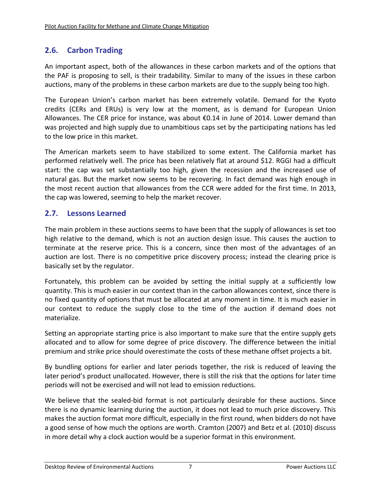## **2.6. Carbon Trading**

An important aspect, both of the allowances in these carbon markets and of the options that the PAF is proposing to sell, is their tradability. Similar to many of the issues in these carbon auctions, many of the problems in these carbon markets are due to the supply being too high.

The European Union's carbon market has been extremely volatile. Demand for the Kyoto credits (CERs and ERUs) is very low at the moment, as is demand for European Union Allowances. The CER price for instance, was about €0.14 in June of 2014. Lower demand than was projected and high supply due to unambitious caps set by the participating nations has led to the low price in this market.

The American markets seem to have stabilized to some extent. The California market has performed relatively well. The price has been relatively flat at around \$12. RGGI had a difficult start: the cap was set substantially too high, given the recession and the increased use of natural gas. But the market now seems to be recovering. In fact demand was high enough in the most recent auction that allowances from the CCR were added for the first time. In 2013, the cap was lowered, seeming to help the market recover.

## **2.7. Lessons Learned**

The main problem in these auctions seems to have been that the supply of allowances is set too high relative to the demand, which is not an auction design issue. This causes the auction to terminate at the reserve price. This is a concern, since then most of the advantages of an auction are lost. There is no competitive price discovery process; instead the clearing price is basically set by the regulator.

Fortunately, this problem can be avoided by setting the initial supply at a sufficiently low quantity. This is much easier in our context than in the carbon allowances context, since there is no fixed quantity of options that must be allocated at any moment in time. It is much easier in our context to reduce the supply close to the time of the auction if demand does not materialize.

Setting an appropriate starting price is also important to make sure that the entire supply gets allocated and to allow for some degree of price discovery. The difference between the initial premium and strike price should overestimate the costs of these methane offset projects a bit.

By bundling options for earlier and later periods together, the risk is reduced of leaving the later period's product unallocated. However, there is still the risk that the options for later time periods will not be exercised and will not lead to emission reductions.

We believe that the sealed-bid format is not particularly desirable for these auctions. Since there is no dynamic learning during the auction, it does not lead to much price discovery. This makes the auction format more difficult, especially in the first round, when bidders do not have a good sense of how much the options are worth. Cramton (2007) and Betz et al. (2010) discuss in more detail why a clock auction would be a superior format in this environment.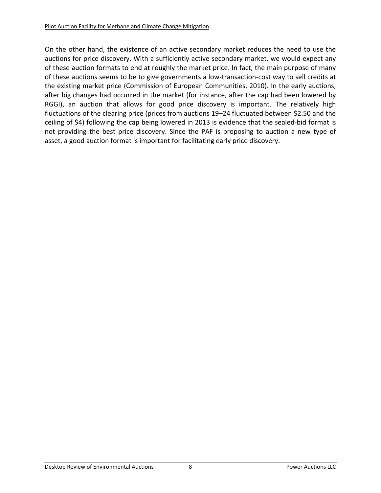On the other hand, the existence of an active secondary market reduces the need to use the auctions for price discovery. With a sufficiently active secondary market, we would expect any of these auction formats to end at roughly the market price. In fact, the main purpose of many of these auctions seems to be to give governments a low‐transaction‐cost way to sell credits at the existing market price (Commission of European Communities, 2010). In the early auctions, after big changes had occurred in the market (for instance, after the cap had been lowered by RGGI), an auction that allows for good price discovery is important. The relatively high fluctuations of the clearing price (prices from auctions 19–24 fluctuated between \$2.50 and the ceiling of \$4) following the cap being lowered in 2013 is evidence that the sealed‐bid format is not providing the best price discovery. Since the PAF is proposing to auction a new type of asset, a good auction format is important for facilitating early price discovery.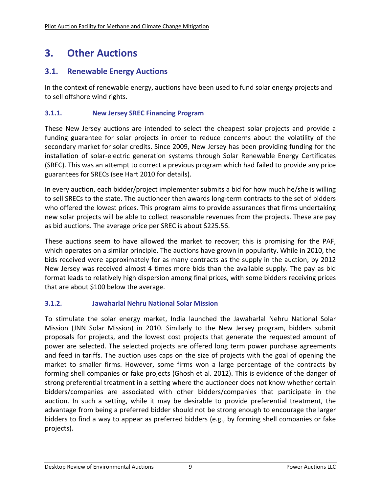# **3. Other Auctions**

## **3.1. Renewable Energy Auctions**

In the context of renewable energy, auctions have been used to fund solar energy projects and to sell offshore wind rights.

#### **3.1.1. New Jersey SREC Financing Program**

These New Jersey auctions are intended to select the cheapest solar projects and provide a funding guarantee for solar projects in order to reduce concerns about the volatility of the secondary market for solar credits. Since 2009, New Jersey has been providing funding for the installation of solar‐electric generation systems through Solar Renewable Energy Certificates (SREC). This was an attempt to correct a previous program which had failed to provide any price guarantees for SRECs (see Hart 2010 for details).

In every auction, each bidder/project implementer submits a bid for how much he/she is willing to sell SRECs to the state. The auctioneer then awards long‐term contracts to the set of bidders who offered the lowest prices. This program aims to provide assurances that firms undertaking new solar projects will be able to collect reasonable revenues from the projects. These are pay as bid auctions. The average price per SREC is about \$225.56.

These auctions seem to have allowed the market to recover; this is promising for the PAF, which operates on a similar principle. The auctions have grown in popularity. While in 2010, the bids received were approximately for as many contracts as the supply in the auction, by 2012 New Jersey was received almost 4 times more bids than the available supply. The pay as bid format leads to relatively high dispersion among final prices, with some bidders receiving prices that are about \$100 below the average.

#### **3.1.2. Jawaharlal Nehru National Solar Mission**

To stimulate the solar energy market, India launched the Jawaharlal Nehru National Solar Mission (JNN Solar Mission) in 2010. Similarly to the New Jersey program, bidders submit proposals for projects, and the lowest cost projects that generate the requested amount of power are selected. The selected projects are offered long term power purchase agreements and feed in tariffs. The auction uses caps on the size of projects with the goal of opening the market to smaller firms. However, some firms won a large percentage of the contracts by forming shell companies or fake projects (Ghosh et al. 2012). This is evidence of the danger of strong preferential treatment in a setting where the auctioneer does not know whether certain bidders/companies are associated with other bidders/companies that participate in the auction. In such a setting, while it may be desirable to provide preferential treatment, the advantage from being a preferred bidder should not be strong enough to encourage the larger bidders to find a way to appear as preferred bidders (e.g., by forming shell companies or fake projects).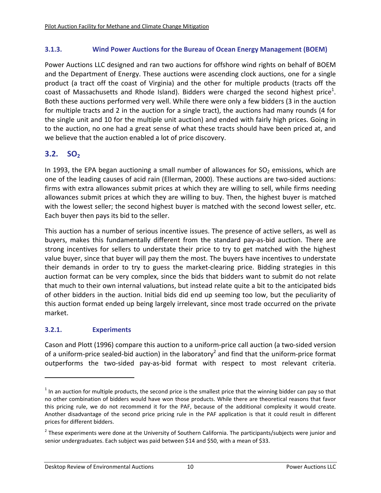#### **3.1.3. Wind Power Auctions for the Bureau of Ocean Energy Management (BOEM)**

Power Auctions LLC designed and ran two auctions for offshore wind rights on behalf of BOEM and the Department of Energy. These auctions were ascending clock auctions, one for a single product (a tract off the coast of Virginia) and the other for multiple products (tracts off the coast of Massachusetts and Rhode Island). Bidders were charged the second highest price<sup>1</sup>. Both these auctions performed very well. While there were only a few bidders (3 in the auction for multiple tracts and 2 in the auction for a single tract), the auctions had many rounds (4 for the single unit and 10 for the multiple unit auction) and ended with fairly high prices. Going in to the auction, no one had a great sense of what these tracts should have been priced at, and we believe that the auction enabled a lot of price discovery.

## **3.2. SO**<sub>2</sub>

In 1993, the EPA began auctioning a small number of allowances for  $SO<sub>2</sub>$  emissions, which are one of the leading causes of acid rain (Ellerman, 2000). These auctions are two‐sided auctions: firms with extra allowances submit prices at which they are willing to sell, while firms needing allowances submit prices at which they are willing to buy. Then, the highest buyer is matched with the lowest seller; the second highest buyer is matched with the second lowest seller, etc. Each buyer then pays its bid to the seller.

This auction has a number of serious incentive issues. The presence of active sellers, as well as buyers, makes this fundamentally different from the standard pay‐as‐bid auction. There are strong incentives for sellers to understate their price to try to get matched with the highest value buyer, since that buyer will pay them the most. The buyers have incentives to understate their demands in order to try to guess the market‐clearing price. Bidding strategies in this auction format can be very complex, since the bids that bidders want to submit do not relate that much to their own internal valuations, but instead relate quite a bit to the anticipated bids of other bidders in the auction. Initial bids did end up seeming too low, but the peculiarity of this auction format ended up being largely irrelevant, since most trade occurred on the private market.

#### **3.2.1. Experiments**

Cason and Plott (1996) compare this auction to a uniform‐price call auction (a two‐sided version of a uniform-price sealed-bid auction) in the laboratory<sup>2</sup> and find that the uniform-price format outperforms the two-sided pay-as-bid format with respect to most relevant criteria.

 $1$  In an auction for multiple products, the second price is the smallest price that the winning bidder can pay so that no other combination of bidders would have won those products. While there are theoretical reasons that favor this pricing rule, we do not recommend it for the PAF, because of the additional complexity it would create. Another disadvantage of the second price pricing rule in the PAF application is that it could result in different prices for different bidders.

 $2$  These experiments were done at the University of Southern California. The participants/subjects were junior and senior undergraduates. Each subject was paid between \$14 and \$50, with a mean of \$33.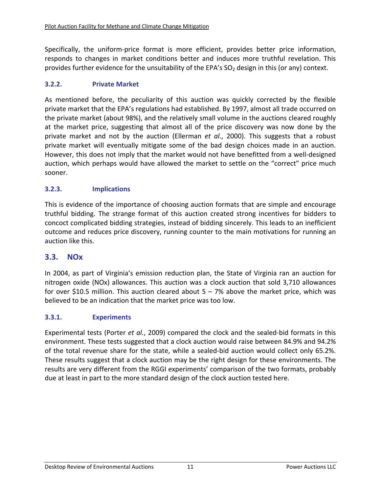Specifically, the uniform-price format is more efficient, provides better price information, responds to changes in market conditions better and induces more truthful revelation. This provides further evidence for the unsuitability of the EPA's  $SO<sub>2</sub>$  design in this (or any) context.

#### **3.2.2. Private Market**

As mentioned before, the peculiarity of this auction was quickly corrected by the flexible private market that the EPA's regulations had established. By 1997, almost all trade occurred on the private market (about 98%), and the relatively small volume in the auctions cleared roughly at the market price, suggesting that almost all of the price discovery was now done by the private market and not by the auction (Ellerman *et al*., 2000). This suggests that a robust private market will eventually mitigate some of the bad design choices made in an auction. However, this does not imply that the market would not have benefitted from a well‐designed auction, which perhaps would have allowed the market to settle on the "correct" price much sooner.

#### **3.2.3. Implications**

This is evidence of the importance of choosing auction formats that are simple and encourage truthful bidding. The strange format of this auction created strong incentives for bidders to concoct complicated bidding strategies, instead of bidding sincerely. This leads to an inefficient outcome and reduces price discovery, running counter to the main motivations for running an auction like this.

#### **3.3. NOx**

In 2004, as part of Virginia's emission reduction plan, the State of Virginia ran an auction for nitrogen oxide (NOx) allowances. This auction was a clock auction that sold 3,710 allowances for over \$10.5 million. This auction cleared about  $5 - 7%$  above the market price, which was believed to be an indication that the market price was too low.

#### **3.3.1. Experiments**

Experimental tests (Porter *et al.*, 2009) compared the clock and the sealed‐bid formats in this environment. These tests suggested that a clock auction would raise between 84.9% and 94.2% of the total revenue share for the state, while a sealed‐bid auction would collect only 65.2%. These results suggest that a clock auction may be the right design for these environments. The results are very different from the RGGI experiments' comparison of the two formats, probably due at least in part to the more standard design of the clock auction tested here.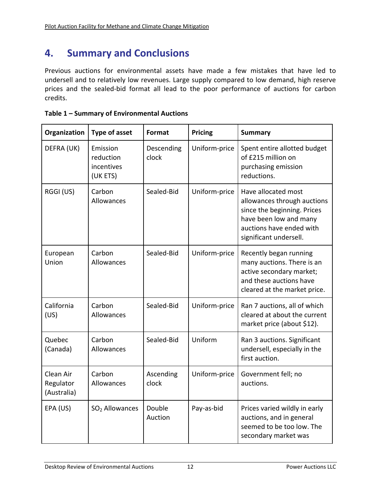# **4. Summary and Conclusions**

Previous auctions for environmental assets have made a few mistakes that have led to undersell and to relatively low revenues. Large supply compared to low demand, high reserve prices and the sealed‐bid format all lead to the poor performance of auctions for carbon credits.

|  | Table 1 - Summary of Environmental Auctions |
|--|---------------------------------------------|
|--|---------------------------------------------|

| Organization                          | <b>Type of asset</b>                            | <b>Format</b>       | Pricing       | <b>Summary</b>                                                                                                                                                    |
|---------------------------------------|-------------------------------------------------|---------------------|---------------|-------------------------------------------------------------------------------------------------------------------------------------------------------------------|
| DEFRA (UK)                            | Emission<br>reduction<br>incentives<br>(UK ETS) | Descending<br>clock | Uniform-price | Spent entire allotted budget<br>of £215 million on<br>purchasing emission<br>reductions.                                                                          |
| RGGI (US)                             | Carbon<br>Allowances                            | Sealed-Bid          | Uniform-price | Have allocated most<br>allowances through auctions<br>since the beginning. Prices<br>have been low and many<br>auctions have ended with<br>significant undersell. |
| European<br>Union                     | Carbon<br>Allowances                            | Sealed-Bid          | Uniform-price | Recently began running<br>many auctions. There is an<br>active secondary market;<br>and these auctions have<br>cleared at the market price.                       |
| California<br>(US)                    | Carbon<br>Allowances                            | Sealed-Bid          | Uniform-price | Ran 7 auctions, all of which<br>cleared at about the current<br>market price (about \$12).                                                                        |
| Quebec<br>(Canada)                    | Carbon<br>Allowances                            | Sealed-Bid          | Uniform       | Ran 3 auctions. Significant<br>undersell, especially in the<br>first auction.                                                                                     |
| Clean Air<br>Regulator<br>(Australia) | Carbon<br>Allowances                            | Ascending<br>clock  | Uniform-price | Government fell; no<br>auctions.                                                                                                                                  |
| EPA (US)                              | SO <sub>2</sub> Allowances                      | Double<br>Auction   | Pay-as-bid    | Prices varied wildly in early<br>auctions, and in general<br>seemed to be too low. The<br>secondary market was                                                    |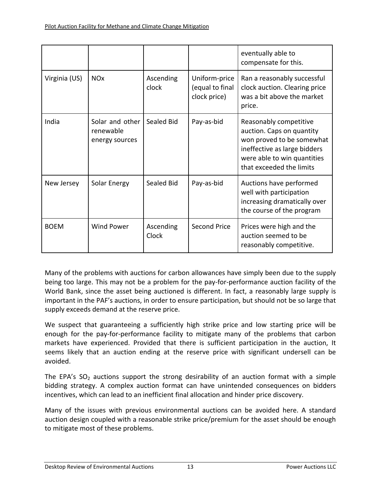|               |                                                |                    |                                                  | eventually able to<br>compensate for this.                                                                                                                                  |
|---------------|------------------------------------------------|--------------------|--------------------------------------------------|-----------------------------------------------------------------------------------------------------------------------------------------------------------------------------|
| Virginia (US) | <b>NO<sub>x</sub></b>                          | Ascending<br>clock | Uniform-price<br>(equal to final<br>clock price) | Ran a reasonably successful<br>clock auction. Clearing price<br>was a bit above the market<br>price.                                                                        |
| India         | Solar and other<br>renewable<br>energy sources | Sealed Bid         | Pay-as-bid                                       | Reasonably competitive<br>auction. Caps on quantity<br>won proved to be somewhat<br>ineffective as large bidders<br>were able to win quantities<br>that exceeded the limits |
| New Jersey    | Solar Energy                                   | Sealed Bid         | Pay-as-bid                                       | Auctions have performed<br>well with participation<br>increasing dramatically over<br>the course of the program                                                             |
| <b>BOEM</b>   | <b>Wind Power</b>                              | Ascending<br>Clock | <b>Second Price</b>                              | Prices were high and the<br>auction seemed to be<br>reasonably competitive.                                                                                                 |

Many of the problems with auctions for carbon allowances have simply been due to the supply being too large. This may not be a problem for the pay-for-performance auction facility of the World Bank, since the asset being auctioned is different. In fact, a reasonably large supply is important in the PAF's auctions, in order to ensure participation, but should not be so large that supply exceeds demand at the reserve price.

We suspect that guaranteeing a sufficiently high strike price and low starting price will be enough for the pay‐for‐performance facility to mitigate many of the problems that carbon markets have experienced. Provided that there is sufficient participation in the auction, It seems likely that an auction ending at the reserve price with significant undersell can be avoided.

The EPA's  $SO<sub>2</sub>$  auctions support the strong desirability of an auction format with a simple bidding strategy. A complex auction format can have unintended consequences on bidders incentives, which can lead to an inefficient final allocation and hinder price discovery.

Many of the issues with previous environmental auctions can be avoided here. A standard auction design coupled with a reasonable strike price/premium for the asset should be enough to mitigate most of these problems.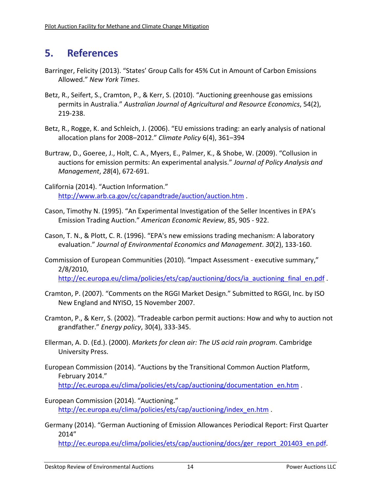# **5. References**

- Barringer, Felicity (2013). "States' Group Calls for 45% Cut in Amount of Carbon Emissions Allowed." *New York Times*.
- Betz, R., Seifert, S., Cramton, P., & Kerr, S. (2010). "Auctioning greenhouse gas emissions permits in Australia." *Australian Journal of Agricultural and Resource Economics*, 54(2), 219‐238.
- Betz, R., Rogge, K. and Schleich, J. (2006). "EU emissions trading: an early analysis of national allocation plans for 2008–2012." *Climate Policy* 6(4), 361–394
- Burtraw, D., Goeree, J., Holt, C. A., Myers, E., Palmer, K., & Shobe, W. (2009). "Collusion in auctions for emission permits: An experimental analysis." *Journal of Policy Analysis and Management*, *28*(4), 672‐691.
- California (2014). "Auction Information." http://www.arb.ca.gov/cc/capandtrade/auction/auction.htm .
- Cason, Timothy N. (1995). "An Experimental Investigation of the Seller Incentives in EPA's Emission Trading Auction." *American Economic Review*, 85, 905 ‐ 922.
- Cason, T. N., & Plott, C. R. (1996). "EPA's new emissions trading mechanism: A laboratory evaluation." *Journal of Environmental Economics and Management*. *30*(2), 133‐160.
- Commission of European Communities (2010). "Impact Assessment ‐ executive summary," 2/8/2010, http://ec.europa.eu/clima/policies/ets/cap/auctioning/docs/ia\_auctioning\_final\_en.pdf
- Cramton, P. (2007). "Comments on the RGGI Market Design." Submitted to RGGI, Inc. by ISO New England and NYISO, 15 November 2007.
- Cramton, P., & Kerr, S. (2002). "Tradeable carbon permit auctions: How and why to auction not grandfather." *Energy policy*, 30(4), 333‐345.
- Ellerman, A. D. (Ed.). (2000). *Markets for clean air: The US acid rain program*. Cambridge University Press.
- European Commission (2014). "Auctions by the Transitional Common Auction Platform, February 2014." http://ec.europa.eu/clima/policies/ets/cap/auctioning/documentation\_en.htm .
- European Commission (2014). "Auctioning." http://ec.europa.eu/clima/policies/ets/cap/auctioning/index\_en.htm .
- Germany (2014). "German Auctioning of Emission Allowances Periodical Report: First Quarter 2014"

http://ec.europa.eu/clima/policies/ets/cap/auctioning/docs/ger\_report\_201403\_en.pdf.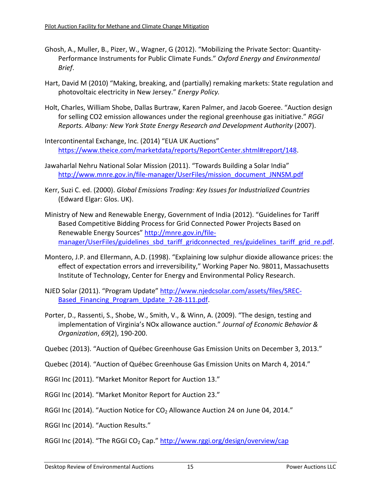- Ghosh, A., Muller, B., Pizer, W., Wagner, G (2012). "Mobilizing the Private Sector: Quantity‐ Performance Instruments for Public Climate Funds." *Oxford Energy and Environmental Brief*.
- Hart, David M (2010) "Making, breaking, and (partially) remaking markets: State regulation and photovoltaic electricity in New Jersey." *Energy Policy.*
- Holt, Charles, William Shobe, Dallas Burtraw, Karen Palmer, and Jacob Goeree. "Auction design for selling CO2 emission allowances under the regional greenhouse gas initiative." *RGGI Reports. Albany: New York State Energy Research and Development Authority* (2007).
- Intercontinental Exchange, Inc. (2014) "EUA UK Auctions" https://www.theice.com/marketdata/reports/ReportCenter.shtml#report/148.
- Jawaharlal Nehru National Solar Mission (2011). "Towards Building a Solar India" http://www.mnre.gov.in/file‐manager/UserFiles/mission\_document\_JNNSM.pdf
- Kerr, Suzi C. ed. (2000). *Global Emissions Trading: Key Issues for Industrialized Countries* (Edward Elgar: Glos. UK).
- Ministry of New and Renewable Energy, Government of India (2012). "Guidelines for Tariff Based Competitive Bidding Process for Grid Connected Power Projects Based on Renewable Energy Sources" http://mnre.gov.in/filemanager/UserFiles/guidelines sbd\_tariff\_gridconnected\_res/guidelines\_tariff\_grid\_re.pdf.
- Montero, J.P. and Ellermann, A.D. (1998). "Explaining low sulphur dioxide allowance prices: the effect of expectation errors and irreversibility," Working Paper No. 98011, Massachusetts Institute of Technology, Center for Energy and Environmental Policy Research.
- NJED Solar (2011). "Program Update" http://www.njedcsolar.com/assets/files/SREC‐ Based Financing Program Update 7-28-111.pdf.
- Porter, D., Rassenti, S., Shobe, W., Smith, V., & Winn, A. (2009). "The design, testing and implementation of Virginia's NOx allowance auction." *Journal of Economic Behavior & Organization*, *69*(2), 190‐200.
- Quebec (2013). "Auction of Québec Greenhouse Gas Emission Units on December 3, 2013."
- Quebec (2014). "Auction of Québec Greenhouse Gas Emission Units on March 4, 2014."
- RGGI Inc (2011). "Market Monitor Report for Auction 13."
- RGGI Inc (2014). "Market Monitor Report for Auction 23."
- RGGI Inc (2014). "Auction Notice for CO<sub>2</sub> Allowance Auction 24 on June 04, 2014."
- RGGI Inc (2014). "Auction Results."

RGGI Inc (2014). "The RGGI CO<sub>2</sub> Cap." http://www.rggi.org/design/overview/cap